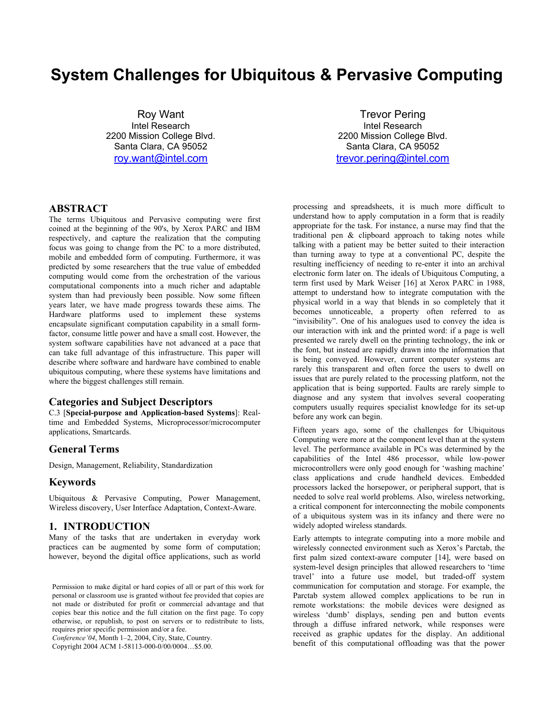# **System Challenges for Ubiquitous & Pervasive Computing**

Roy Want Intel Research 2200 Mission College Blvd. Santa Clara, CA 95052 [roy.want@intel.com](mailto:roy.want@intel.com)

Trevor Pering Intel Research 2200 Mission College Blvd. Santa Clara, CA 95052 [trevor.pering@intel.com](mailto:trevor.pering@intel.com)

## **ABSTRACT**

The terms Ubiquitous and Pervasive computing were first coined at the beginning of the 90's, by Xerox PARC and IBM respectively, and capture the realization that the computing focus was going to change from the PC to a more distributed, mobile and embedded form of computing. Furthermore, it was predicted by some researchers that the true value of embedded computing would come from the orchestration of the various computational components into a much richer and adaptable system than had previously been possible. Now some fifteen years later, we have made progress towards these aims. The Hardware platforms used to implement these systems encapsulate significant computation capability in a small formfactor, consume little power and have a small cost. However, the system software capabilities have not advanced at a pace that can take full advantage of this infrastructure. This paper will describe where software and hardware have combined to enable ubiquitous computing, where these systems have limitations and where the biggest challenges still remain.

## **Categories and Subject Descriptors**

C.3 [**Special-purpose and Application-based Systems**]: Realtime and Embedded Systems, Microprocessor/microcomputer applications, Smartcards.

#### **General Terms**

Design, Management, Reliability, Standardization

#### **Keywords**

Ubiquitous & Pervasive Computing, Power Management, Wireless discovery, User Interface Adaptation, Context-Aware.

## **1. INTRODUCTION**

Many of the tasks that are undertaken in everyday work practices can be augmented by some form of computation; however, beyond the digital office applications, such as world

*Conference'04*, Month 1–2, 2004, City, State, Country.

Copyright 2004 ACM 1-58113-000-0/00/0004…\$5.00.

processing and spreadsheets, it is much more difficult to understand how to apply computation in a form that is readily appropriate for the task. For instance, a nurse may find that the traditional pen & clipboard approach to taking notes while talking with a patient may be better suited to their interaction than turning away to type at a conventional PC, despite the resulting inefficiency of needing to re-enter it into an archival electronic form later on. The ideals of Ubiquitous Computing, a term first used by Mark Weiser [16] at Xerox PARC in 1988, attempt to understand how to integrate computation with the physical world in a way that blends in so completely that it becomes unnoticeable, a property often referred to as "invisibility". One of his analogues used to convey the idea is our interaction with ink and the printed word: if a page is well presented we rarely dwell on the printing technology, the ink or the font, but instead are rapidly drawn into the information that is being conveyed. However, current computer systems are rarely this transparent and often force the users to dwell on issues that are purely related to the processing platform, not the application that is being supported. Faults are rarely simple to diagnose and any system that involves several cooperating computers usually requires specialist knowledge for its set-up before any work can begin.

Fifteen years ago, some of the challenges for Ubiquitous Computing were more at the component level than at the system level. The performance available in PCs was determined by the capabilities of the Intel 486 processor, while low-power microcontrollers were only good enough for 'washing machine' class applications and crude handheld devices. Embedded processors lacked the horsepower, or peripheral support, that is needed to solve real world problems. Also, wireless networking, a critical component for interconnecting the mobile components of a ubiquitous system was in its infancy and there were no widely adopted wireless standards.

Early attempts to integrate computing into a more mobile and wirelessly connected environment such as Xerox's Parctab, the first palm sized context-aware computer [14], were based on system-level design principles that allowed researchers to 'time travel' into a future use model, but traded-off system communication for computation and storage. For example, the Parctab system allowed complex applications to be run in remote workstations: the mobile devices were designed as wireless 'dumb' displays, sending pen and button events through a diffuse infrared network, while responses were received as graphic updates for the display. An additional benefit of this computational offloading was that the power

Permission to make digital or hard copies of all or part of this work for personal or classroom use is granted without fee provided that copies are not made or distributed for profit or commercial advantage and that copies bear this notice and the full citation on the first page. To copy otherwise, or republish, to post on servers or to redistribute to lists, requires prior specific permission and/or a fee.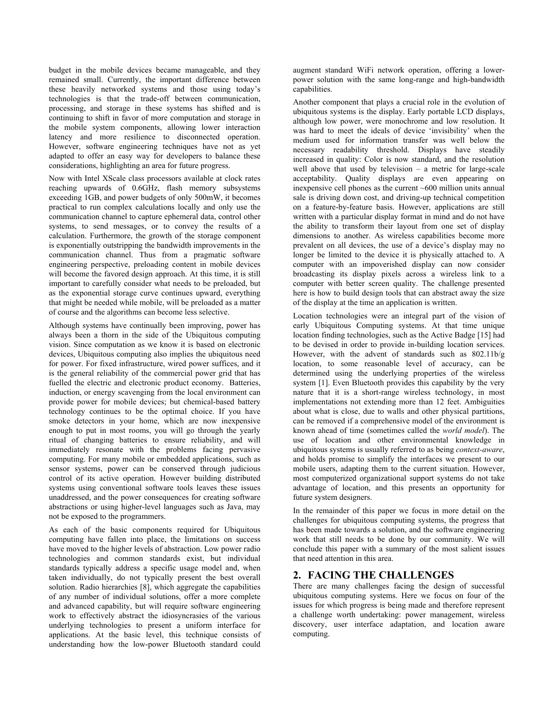budget in the mobile devices became manageable, and they remained small. Currently, the important difference between these heavily networked systems and those using today's technologies is that the trade-off between communication, processing, and storage in these systems has shifted and is continuing to shift in favor of more computation and storage in the mobile system components, allowing lower interaction latency and more resilience to disconnected operation. However, software engineering techniques have not as yet adapted to offer an easy way for developers to balance these considerations, highlighting an area for future progress.

Now with Intel XScale class processors available at clock rates reaching upwards of 0.6GHz, flash memory subsystems exceeding 1GB, and power budgets of only 500mW, it becomes practical to run complex calculations locally and only use the communication channel to capture ephemeral data, control other systems, to send messages, or to convey the results of a calculation. Furthermore, the growth of the storage component is exponentially outstripping the bandwidth improvements in the communication channel. Thus from a pragmatic software engineering perspective, preloading content in mobile devices will become the favored design approach. At this time, it is still important to carefully consider what needs to be preloaded, but as the exponential storage curve continues upward, everything that might be needed while mobile, will be preloaded as a matter of course and the algorithms can become less selective.

Although systems have continually been improving, power has always been a thorn in the side of the Ubiquitous computing vision. Since computation as we know it is based on electronic devices, Ubiquitous computing also implies the ubiquitous need for power. For fixed infrastructure, wired power suffices, and it is the general reliability of the commercial power grid that has fuelled the electric and electronic product economy. Batteries, induction, or energy scavenging from the local environment can provide power for mobile devices; but chemical-based battery technology continues to be the optimal choice. If you have smoke detectors in your home, which are now inexpensive enough to put in most rooms, you will go through the yearly ritual of changing batteries to ensure reliability, and will immediately resonate with the problems facing pervasive computing. For many mobile or embedded applications, such as sensor systems, power can be conserved through judicious control of its active operation. However building distributed systems using conventional software tools leaves these issues unaddressed, and the power consequences for creating software abstractions or using higher-level languages such as Java, may not be exposed to the programmers.

As each of the basic components required for Ubiquitous computing have fallen into place, the limitations on success have moved to the higher levels of abstraction. Low power radio technologies and common standards exist, but individual standards typically address a specific usage model and, when taken individually, do not typically present the best overall solution. Radio hierarchies [8], which aggregate the capabilities of any number of individual solutions, offer a more complete and advanced capability, but will require software engineering work to effectively abstract the idiosyncrasies of the various underlying technologies to present a uniform interface for applications. At the basic level, this technique consists of understanding how the low-power Bluetooth standard could

augment standard WiFi network operation, offering a lowerpower solution with the same long-range and high-bandwidth capabilities.

Another component that plays a crucial role in the evolution of ubiquitous systems is the display. Early portable LCD displays, although low power, were monochrome and low resolution. It was hard to meet the ideals of device 'invisibility' when the medium used for information transfer was well below the necessary readability threshold. Displays have steadily increased in quality: Color is now standard, and the resolution well above that used by television – a metric for large-scale acceptability. Quality displays are even appearing on inexpensive cell phones as the current ~600 million units annual sale is driving down cost, and driving-up technical competition on a feature-by-feature basis. However, applications are still written with a particular display format in mind and do not have the ability to transform their layout from one set of display dimensions to another. As wireless capabilities become more prevalent on all devices, the use of a device's display may no longer be limited to the device it is physically attached to. A computer with an impoverished display can now consider broadcasting its display pixels across a wireless link to a computer with better screen quality. The challenge presented here is how to build design tools that can abstract away the size of the display at the time an application is written.

Location technologies were an integral part of the vision of early Ubiquitous Computing systems. At that time unique location finding technologies, such as the Active Badge [15] had to be devised in order to provide in-building location services. However, with the advent of standards such as 802.11b/g location, to some reasonable level of accuracy, can be determined using the underlying properties of the wireless system [1]. Even Bluetooth provides this capability by the very nature that it is a short-range wireless technology, in most implementations not extending more than 12 feet. Ambiguities about what is close, due to walls and other physical partitions, can be removed if a comprehensive model of the environment is known ahead of time (sometimes called the *world model*). The use of location and other environmental knowledge in ubiquitous systems is usually referred to as being *context-aware*, and holds promise to simplify the interfaces we present to our mobile users, adapting them to the current situation. However, most computerized organizational support systems do not take advantage of location, and this presents an opportunity for future system designers.

In the remainder of this paper we focus in more detail on the challenges for ubiquitous computing systems, the progress that has been made towards a solution, and the software engineering work that still needs to be done by our community. We will conclude this paper with a summary of the most salient issues that need attention in this area.

# **2. FACING THE CHALLENGES**

There are many challenges facing the design of successful ubiquitous computing systems. Here we focus on four of the issues for which progress is being made and therefore represent a challenge worth undertaking: power management, wireless discovery, user interface adaptation, and location aware computing.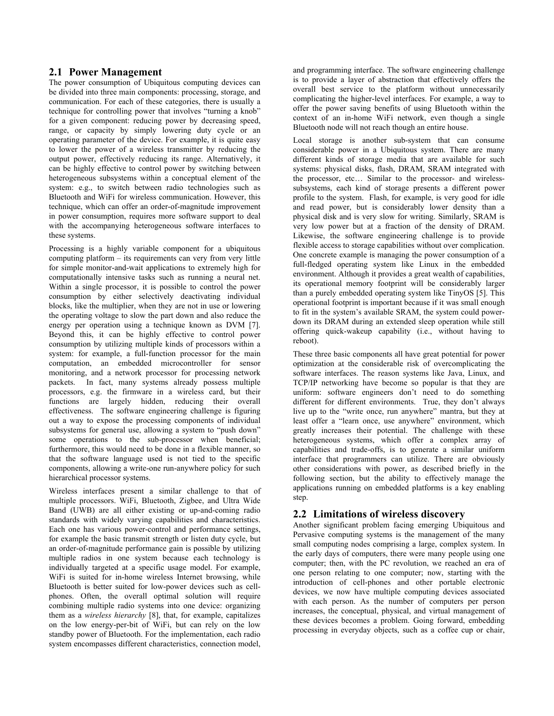## **2.1 Power Management**

The power consumption of Ubiquitous computing devices can be divided into three main components: processing, storage, and communication. For each of these categories, there is usually a technique for controlling power that involves "turning a knob" for a given component: reducing power by decreasing speed, range, or capacity by simply lowering duty cycle or an operating parameter of the device. For example, it is quite easy to lower the power of a wireless transmitter by reducing the output power, effectively reducing its range. Alternatively, it can be highly effective to control power by switching between heterogeneous subsystems within a conceptual element of the system: e.g., to switch between radio technologies such as Bluetooth and WiFi for wireless communication. However, this technique, which can offer an order-of-magnitude improvement in power consumption, requires more software support to deal with the accompanying heterogeneous software interfaces to these systems.

Processing is a highly variable component for a ubiquitous computing platform – its requirements can very from very little for simple monitor-and-wait applications to extremely high for computationally intensive tasks such as running a neural net. Within a single processor, it is possible to control the power consumption by either selectively deactivating individual blocks, like the multiplier, when they are not in use or lowering the operating voltage to slow the part down and also reduce the energy per operation using a technique known as DVM [7]. Beyond this, it can be highly effective to control power consumption by utilizing multiple kinds of processors within a system: for example, a full-function processor for the main computation, an embedded microcontroller for sensor monitoring, and a network processor for processing network packets. In fact, many systems already possess multiple processors, e.g. the firmware in a wireless card, but their functions are largely hidden, reducing their overall effectiveness. The software engineering challenge is figuring out a way to expose the processing components of individual subsystems for general use, allowing a system to "push down" some operations to the sub-processor when beneficial; furthermore, this would need to be done in a flexible manner, so that the software language used is not tied to the specific components, allowing a write-one run-anywhere policy for such hierarchical processor systems.

Wireless interfaces present a similar challenge to that of multiple processors. WiFi, Bluetooth, Zigbee, and Ultra Wide Band (UWB) are all either existing or up-and-coming radio standards with widely varying capabilities and characteristics. Each one has various power-control and performance settings, for example the basic transmit strength or listen duty cycle, but an order-of-magnitude performance gain is possible by utilizing multiple radios in one system because each technology is individually targeted at a specific usage model. For example, WiFi is suited for in-home wireless Internet browsing, while Bluetooth is better suited for low-power devices such as cellphones. Often, the overall optimal solution will require combining multiple radio systems into one device: organizing them as a *wireless hierarchy* [8], that, for example, capitalizes on the low energy-per-bit of WiFi, but can rely on the low standby power of Bluetooth. For the implementation, each radio system encompasses different characteristics, connection model,

and programming interface. The software engineering challenge is to provide a layer of abstraction that effectively offers the overall best service to the platform without unnecessarily complicating the higher-level interfaces. For example, a way to offer the power saving benefits of using Bluetooth within the context of an in-home WiFi network, even though a single Bluetooth node will not reach though an entire house.

Local storage is another sub-system that can consume considerable power in a Ubiquitous system. There are many different kinds of storage media that are available for such systems: physical disks, flash, DRAM, SRAM integrated with the processor, etc… Similar to the processor- and wirelesssubsystems, each kind of storage presents a different power profile to the system. Flash, for example, is very good for idle and read power, but is considerably lower density than a physical disk and is very slow for writing. Similarly, SRAM is very low power but at a fraction of the density of DRAM. Likewise, the software engineering challenge is to provide flexible access to storage capabilities without over complication. One concrete example is managing the power consumption of a full-fledged operating system like Linux in the embedded environment. Although it provides a great wealth of capabilities, its operational memory footprint will be considerably larger than a purely embedded operating system like TinyOS [5]. This operational footprint is important because if it was small enough to fit in the system's available SRAM, the system could powerdown its DRAM during an extended sleep operation while still offering quick-wakeup capability (i.e., without having to reboot).

These three basic components all have great potential for power optimization at the considerable risk of overcomplicating the software interfaces. The reason systems like Java, Linux, and TCP/IP networking have become so popular is that they are uniform: software engineers don't need to do something different for different environments. True, they don't always live up to the "write once, run anywhere" mantra, but they at least offer a "learn once, use anywhere" environment, which greatly increases their potential. The challenge with these heterogeneous systems, which offer a complex array of capabilities and trade-offs, is to generate a similar uniform interface that programmers can utilize. There are obviously other considerations with power, as described briefly in the following section, but the ability to effectively manage the applications running on embedded platforms is a key enabling step.

# **2.2 Limitations of wireless discovery**

Another significant problem facing emerging Ubiquitous and Pervasive computing systems is the management of the many small computing nodes comprising a large, complex system. In the early days of computers, there were many people using one computer; then, with the PC revolution, we reached an era of one person relating to one computer; now, starting with the introduction of cell-phones and other portable electronic devices, we now have multiple computing devices associated with each person. As the number of computers per person increases, the conceptual, physical, and virtual management of these devices becomes a problem. Going forward, embedding processing in everyday objects, such as a coffee cup or chair,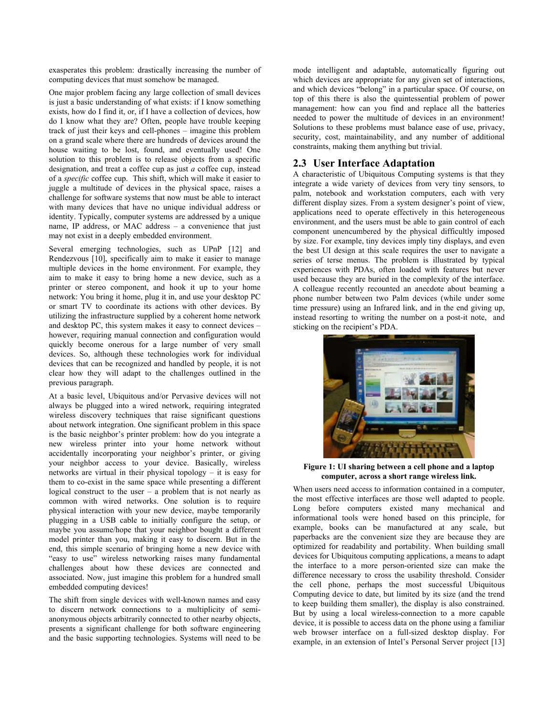exasperates this problem: drastically increasing the number of computing devices that must somehow be managed.

One major problem facing any large collection of small devices is just a basic understanding of what exists: if I know something exists, how do I find it, or, if I have a collection of devices, how do I know what they are? Often, people have trouble keeping track of just their keys and cell-phones – imagine this problem on a grand scale where there are hundreds of devices around the house waiting to be lost, found, and eventually used! One solution to this problem is to release objects from a specific designation, and treat a coffee cup as just *a* coffee cup, instead of a *specific* coffee cup. This shift, which will make it easier to juggle a multitude of devices in the physical space, raises a challenge for software systems that now must be able to interact with many devices that have no unique individual address or identity. Typically, computer systems are addressed by a unique name, IP address, or MAC address – a convenience that just may not exist in a deeply embedded environment.

Several emerging technologies, such as UPnP [12] and Rendezvous [10], specifically aim to make it easier to manage multiple devices in the home environment. For example, they aim to make it easy to bring home a new device, such as a printer or stereo component, and hook it up to your home network: You bring it home, plug it in, and use your desktop PC or smart TV to coordinate its actions with other devices. By utilizing the infrastructure supplied by a coherent home network and desktop PC, this system makes it easy to connect devices – however, requiring manual connection and configuration would quickly become onerous for a large number of very small devices. So, although these technologies work for individual devices that can be recognized and handled by people, it is not clear how they will adapt to the challenges outlined in the previous paragraph.

At a basic level, Ubiquitous and/or Pervasive devices will not always be plugged into a wired network, requiring integrated wireless discovery techniques that raise significant questions about network integration. One significant problem in this space is the basic neighbor's printer problem: how do you integrate a new wireless printer into your home network without accidentally incorporating your neighbor's printer, or giving your neighbor access to your device. Basically, wireless networks are virtual in their physical topology – it is easy for them to co-exist in the same space while presenting a different logical construct to the user – a problem that is not nearly as common with wired networks. One solution is to require physical interaction with your new device, maybe temporarily plugging in a USB cable to initially configure the setup, or maybe you assume/hope that your neighbor bought a different model printer than you, making it easy to discern. But in the end, this simple scenario of bringing home a new device with "easy to use" wireless networking raises many fundamental challenges about how these devices are connected and associated. Now, just imagine this problem for a hundred small embedded computing devices!

The shift from single devices with well-known names and easy to discern network connections to a multiplicity of semianonymous objects arbitrarily connected to other nearby objects, presents a significant challenge for both software engineering and the basic supporting technologies. Systems will need to be

mode intelligent and adaptable, automatically figuring out which devices are appropriate for any given set of interactions, and which devices "belong" in a particular space. Of course, on top of this there is also the quintessential problem of power management: how can you find and replace all the batteries needed to power the multitude of devices in an environment! Solutions to these problems must balance ease of use, privacy, security, cost, maintainability, and any number of additional constraints, making them anything but trivial.

#### **2.3 User Interface Adaptation**

A characteristic of Ubiquitous Computing systems is that they integrate a wide variety of devices from very tiny sensors, to palm, notebook and workstation computers, each with very different display sizes. From a system designer's point of view, applications need to operate effectively in this heterogeneous environment, and the users must be able to gain control of each component unencumbered by the physical difficultly imposed by size. For example, tiny devices imply tiny displays, and even the best UI design at this scale requires the user to navigate a series of terse menus. The problem is illustrated by typical experiences with PDAs, often loaded with features but never used because they are buried in the complexity of the interface. A colleague recently recounted an anecdote about beaming a phone number between two Palm devices (while under some time pressure) using an Infrared link, and in the end giving up, instead resorting to writing the number on a post-it note, and sticking on the recipient's PDA.



**Figure 1: UI sharing between a cell phone and a laptop computer, across a short range wireless link.**

When users need access to information contained in a computer, the most effective interfaces are those well adapted to people. Long before computers existed many mechanical and informational tools were honed based on this principle, for example, books can be manufactured at any scale, but paperbacks are the convenient size they are because they are optimized for readability and portability. When building small devices for Ubiquitous computing applications, a means to adapt the interface to a more person-oriented size can make the difference necessary to cross the usability threshold. Consider the cell phone, perhaps the most successful Ubiquitous Computing device to date, but limited by its size (and the trend to keep building them smaller), the display is also constrained. But by using a local wireless-connection to a more capable device, it is possible to access data on the phone using a familiar web browser interface on a full-sized desktop display. For example, in an extension of Intel's Personal Server project [13]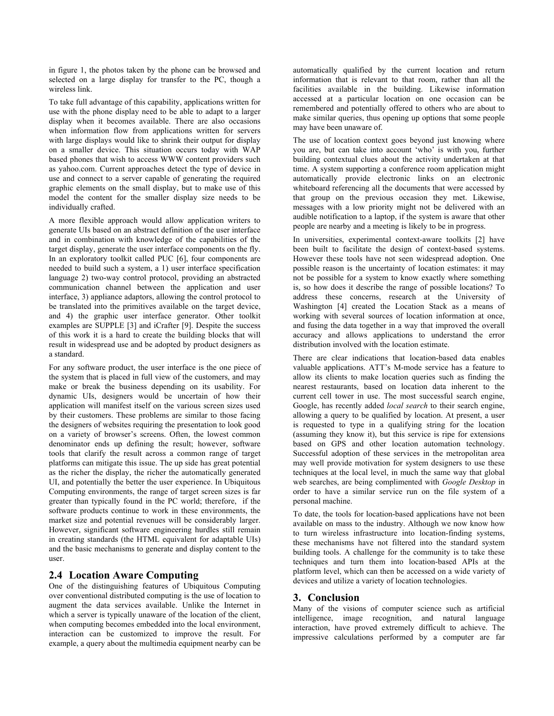in figure 1, the photos taken by the phone can be browsed and selected on a large display for transfer to the PC, though a wireless link.

To take full advantage of this capability, applications written for use with the phone display need to be able to adapt to a larger display when it becomes available. There are also occasions when information flow from applications written for servers with large displays would like to shrink their output for display on a smaller device. This situation occurs today with WAP based phones that wish to access WWW content providers such as yahoo.com. Current approaches detect the type of device in use and connect to a server capable of generating the required graphic elements on the small display, but to make use of this model the content for the smaller display size needs to be individually crafted.

A more flexible approach would allow application writers to generate UIs based on an abstract definition of the user interface and in combination with knowledge of the capabilities of the target display, generate the user interface components on the fly. In an exploratory toolkit called PUC [6], four components are needed to build such a system, a 1) user interface specification language 2) two-way control protocol, providing an abstracted communication channel between the application and user interface, 3) appliance adaptors, allowing the control protocol to be translated into the primitives available on the target device, and 4) the graphic user interface generator. Other toolkit examples are SUPPLE [3] and iCrafter [9]. Despite the success of this work it is a hard to create the building blocks that will result in widespread use and be adopted by product designers as a standard.

For any software product, the user interface is the one piece of the system that is placed in full view of the customers, and may make or break the business depending on its usability. For dynamic UIs, designers would be uncertain of how their application will manifest itself on the various screen sizes used by their customers. These problems are similar to those facing the designers of websites requiring the presentation to look good on a variety of browser's screens. Often, the lowest common denominator ends up defining the result; however, software tools that clarify the result across a common range of target platforms can mitigate this issue. The up side has great potential as the richer the display, the richer the automatically generated UI, and potentially the better the user experience. In Ubiquitous Computing environments, the range of target screen sizes is far greater than typically found in the PC world; therefore, if the software products continue to work in these environments, the market size and potential revenues will be considerably larger. However, significant software engineering hurdles still remain in creating standards (the HTML equivalent for adaptable UIs) and the basic mechanisms to generate and display content to the user.

# **2.4 Location Aware Computing**

One of the distinguishing features of Ubiquitous Computing over conventional distributed computing is the use of location to augment the data services available. Unlike the Internet in which a server is typically unaware of the location of the client, when computing becomes embedded into the local environment. interaction can be customized to improve the result. For example, a query about the multimedia equipment nearby can be automatically qualified by the current location and return information that is relevant to that room, rather than all the facilities available in the building. Likewise information accessed at a particular location on one occasion can be remembered and potentially offered to others who are about to make similar queries, thus opening up options that some people may have been unaware of.

The use of location context goes beyond just knowing where you are, but can take into account 'who' is with you, further building contextual clues about the activity undertaken at that time. A system supporting a conference room application might automatically provide electronic links on an electronic whiteboard referencing all the documents that were accessed by that group on the previous occasion they met. Likewise, messages with a low priority might not be delivered with an audible notification to a laptop, if the system is aware that other people are nearby and a meeting is likely to be in progress.

In universities, experimental context-aware toolkits [2] have been built to facilitate the design of context-based systems. However these tools have not seen widespread adoption. One possible reason is the uncertainty of location estimates: it may not be possible for a system to know exactly where something is, so how does it describe the range of possible locations? To address these concerns, research at the University of Washington [4] created the Location Stack as a means of working with several sources of location information at once, and fusing the data together in a way that improved the overall accuracy and allows applications to understand the error distribution involved with the location estimate.

There are clear indications that location-based data enables valuable applications. ATT's M-mode service has a feature to allow its clients to make location queries such as finding the nearest restaurants, based on location data inherent to the current cell tower in use. The most successful search engine, Google, has recently added *local search* to their search engine, allowing a query to be qualified by location. At present, a user is requested to type in a qualifying string for the location (assuming they know it), but this service is ripe for extensions based on GPS and other location automation technology. Successful adoption of these services in the metropolitan area may well provide motivation for system designers to use these techniques at the local level, in much the same way that global web searches, are being complimented with *Google Desktop* in order to have a similar service run on the file system of a personal machine.

To date, the tools for location-based applications have not been available on mass to the industry. Although we now know how to turn wireless infrastructure into location-finding systems, these mechanisms have not filtered into the standard system building tools. A challenge for the community is to take these techniques and turn them into location-based APIs at the platform level, which can then be accessed on a wide variety of devices and utilize a variety of location technologies.

#### **3. Conclusion**

Many of the visions of computer science such as artificial intelligence, image recognition, and natural language interaction, have proved extremely difficult to achieve. The impressive calculations performed by a computer are far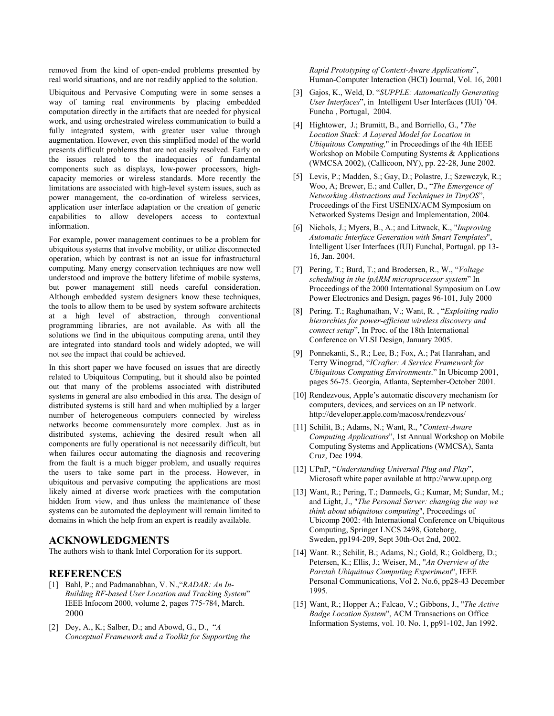removed from the kind of open-ended problems presented by real world situations, and are not readily applied to the solution.

Ubiquitous and Pervasive Computing were in some senses a way of taming real environments by placing embedded computation directly in the artifacts that are needed for physical work, and using orchestrated wireless communication to build a fully integrated system, with greater user value through augmentation. However, even this simplified model of the world presents difficult problems that are not easily resolved. Early on the issues related to the inadequacies of fundamental components such as displays, low-power processors, highcapacity memories or wireless standards. More recently the limitations are associated with high-level system issues, such as power management, the co-ordination of wireless services, application user interface adaptation or the creation of generic capabilities to allow developers access to contextual information.

For example, power management continues to be a problem for ubiquitous systems that involve mobility, or utilize disconnected operation, which by contrast is not an issue for infrastructural computing. Many energy conservation techniques are now well understood and improve the battery lifetime of mobile systems, but power management still needs careful consideration. Although embedded system designers know these techniques, the tools to allow them to be used by system software architects at a high level of abstraction, through conventional programming libraries, are not available. As with all the solutions we find in the ubiquitous computing arena, until they are integrated into standard tools and widely adopted, we will not see the impact that could be achieved.

In this short paper we have focused on issues that are directly related to Ubiquitous Computing, but it should also be pointed out that many of the problems associated with distributed systems in general are also embodied in this area. The design of distributed systems is still hard and when multiplied by a larger number of heterogeneous computers connected by wireless networks become commensurately more complex. Just as in distributed systems, achieving the desired result when all components are fully operational is not necessarily difficult, but when failures occur automating the diagnosis and recovering from the fault is a much bigger problem, and usually requires the users to take some part in the process. However, in ubiquitous and pervasive computing the applications are most likely aimed at diverse work practices with the computation hidden from view, and thus unless the maintenance of these systems can be automated the deployment will remain limited to domains in which the help from an expert is readily available.

#### **ACKNOWLEDGMENTS**

The authors wish to thank Intel Corporation for its support.

#### **REFERENCES**

- [1] Bahl, P.; and Padmanabhan, V. N.,"*RADAR: An In-Building RF-based User Location and Tracking System*" IEEE Infocom 2000, volume 2, pages 775-784, March. 2000
- [2] Dey, A., K.; Salber, D.; and Abowd, G., D., "*A Conceptual Framework and a Toolkit for Supporting the*

*Rapid Prototyping of Context-Aware Applications*", Human-Computer Interaction (HCI) Journal, Vol. 16, 2001

- [3] Gajos, K., Weld, D. "*SUPPLE: Automatically Generating User Interfaces*", in Intelligent User Interfaces (IUI) '04. Funcha , Portugal, 2004.
- [4] Hightower, J.; Brumitt, B., and Borriello, G., "*The Location Stack: A Layered Model for Location in Ubiquitous Computing,*" in Proceedings of the 4th IEEE Workshop on Mobile Computing Systems & Applications (WMCSA 2002), (Callicoon, NY), pp. 22-28, June 2002.
- [5] Levis, P.; Madden, S.; Gay, D.; Polastre, J.; Szewczyk, R.; Woo, A; Brewer, E.; and Culler, D., "*The Emergence of Networking Abstractions and Techniques in TinyOS*", Proceedings of the First USENIX/ACM Symposium on Networked Systems Design and Implementation, 2004.
- [6] Nichols, J.; Myers, B., A.; and Litwack, K., "*Improving Automatic Interface Generation with Smart Templates*", Intelligent User Interfaces (IUI) Funchal, Portugal. pp 13- 16, Jan. 2004.
- [7] Pering, T.; Burd, T.; and Brodersen, R., W., "*Voltage scheduling in the lpARM microprocessor system*" In Proceedings of the 2000 International Symposium on Low Power Electronics and Design, pages 96-101, July 2000
- [8] Pering. T.; Raghunathan, V.; Want, R. , "*Exploiting radio hierarchies for power-efficient wireless discovery and connect setup*", In Proc. of the 18th International Conference on VLSI Design, January 2005.
- [9] Ponnekanti, S., R.; Lee, B.; Fox, A.; Pat Hanrahan, and Terry Winograd, "*ICrafter: A Service Framework for Ubiquitous Computing Environments*." In Ubicomp 2001, pages 56-75. Georgia, Atlanta, September-October 2001.
- [10] Rendezvous, Apple's automatic discovery mechanism for computers, devices, and services on an IP network. http://developer.apple.com/macosx/rendezvous/
- [11] Schilit, B.; Adams, N.; Want, R., "*Context-Aware Computing Applications*", 1st Annual Workshop on Mobile Computing Systems and Applications (WMCSA), Santa Cruz, Dec 1994.
- [12] UPnP, "*Understanding Universal Plug and Play*", Microsoft white paper available at http://www.upnp.org
- [13] Want, R.; Pering, T.; Danneels, G.; Kumar, M; Sundar, M.; and Light, J., "*The Personal Server: changing the way we think about ubiquitous computing*", Proceedings of Ubicomp 2002: 4th International Conference on Ubiquitous Computing, Springer LNCS 2498, Goteborg, Sweden, pp194-209, Sept 30th-Oct 2nd, 2002.
- [14] Want. R.; Schilit, B.; Adams, N.; Gold, R.; Goldberg, D.; Petersen, K.; Ellis, J.; Weiser, M., "*An Overview of the Parctab Ubiquitous Computing Experiment*", IEEE Personal Communications, Vol 2. No.6, pp28-43 December 1995.
- [15] Want, R.; Hopper A.; Falcao, V.; Gibbons, J., "*The Active Badge Location System*", ACM Transactions on Office Information Systems, vol. 10. No. 1, pp91-102, Jan 1992.